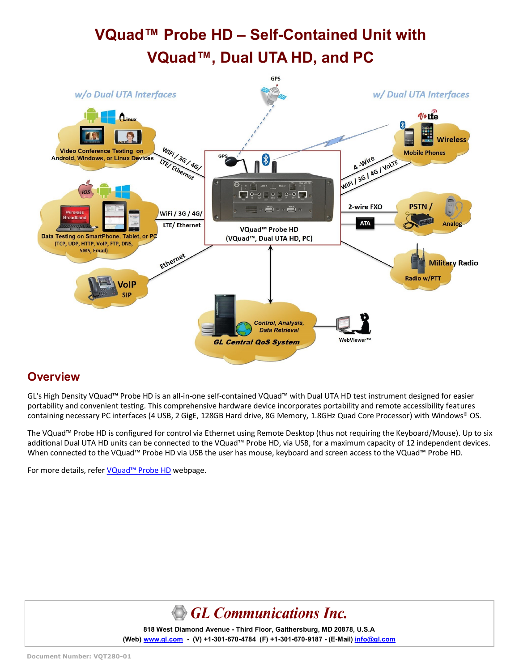# **VQuad™ Probe HD – Self-Contained Unit with VQuad™, Dual UTA HD, and PC**



### **Overview**

GL's High Density VQuad™ Probe HD is an all-in-one self-contained VQuad™ with Dual UTA HD test instrument designed for easier portability and convenient testing. This comprehensive hardware device incorporates portability and remote accessibility features containing necessary PC interfaces (4 USB, 2 GigE, 128GB Hard drive, 8G Memory, 1.8GHz Quad Core Processor) with Windows® OS.

The VQuad™ Probe HD is configured for control via Ethernet using Remote Desktop (thus not requiring the Keyboard/Mouse). Up to six additional Dual UTA HD units can be connected to the VQuad™ Probe HD, via USB, for a maximum capacity of 12 independent devices. When connected to the VQuad™ Probe HD via USB the user has mouse, keyboard and screen access to the VQuad™ Probe HD.

For more details, refer VQuad<sup>™</sup> [Probe HD](https://www.gl.com/vquad-probe.html) webpage.



**818 West Diamond Avenue - Third Floor, Gaithersburg, MD 20878, U.S.A** (Web) [www.gl.com](https://www.gl.com) - (V) +1-301-670-4784 (F) +1-301-670-9187 - (E-Mail) [info@gl.com](https://www.gl.com/inforequestform.php)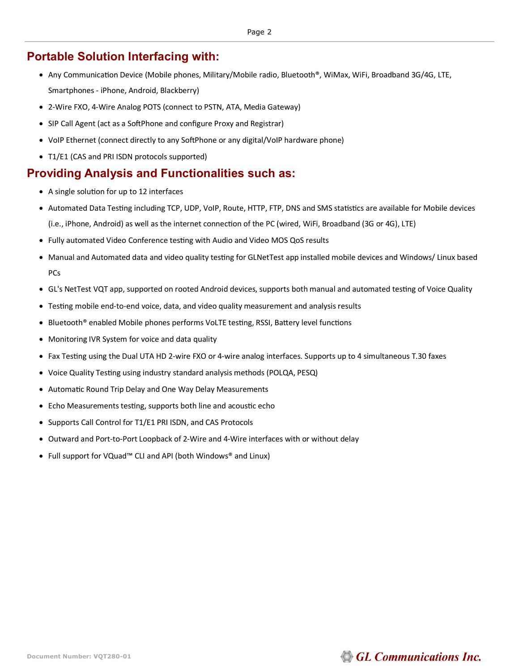## **Portable Solution Interfacing with:**

- Any Communication Device (Mobile phones, Military/Mobile radio, Bluetooth®, WiMax, WiFi, Broadband 3G/4G, LTE, Smartphones - iPhone, Android, Blackberry)
- 2-Wire FXO, 4-Wire Analog POTS (connect to PSTN, ATA, Media Gateway)
- SIP Call Agent (act as a SoftPhone and configure Proxy and Registrar)
- VoIP Ethernet (connect directly to any SoftPhone or any digital/VoIP hardware phone)
- T1/E1 (CAS and PRI ISDN protocols supported)

## **Providing Analysis and Functionalities such as:**

- A single solution for up to 12 interfaces
- Automated Data Testing including TCP, UDP, VoIP, Route, HTTP, FTP, DNS and SMS statistics are available for Mobile devices (i.e., iPhone, Android) as well as the internet connection of the PC (wired, WiFi, Broadband (3G or 4G), LTE)
- Fully automated Video Conference testing with Audio and Video MOS QoS results
- Manual and Automated data and video quality testing for GLNetTest app installed mobile devices and Windows/ Linux based PCs
- GL's NetTest VQT app, supported on rooted Android devices, supports both manual and automated testing of Voice Quality
- Testing mobile end-to-end voice, data, and video quality measurement and analysis results
- Bluetooth® enabled Mobile phones performs VoLTE testing, RSSI, Battery level functions
- Monitoring IVR System for voice and data quality
- Fax Testing using the Dual UTA HD 2-wire FXO or 4-wire analog interfaces. Supports up to 4 simultaneous T.30 faxes
- Voice Quality Testing using industry standard analysis methods (POLQA, PESQ)
- Automatic Round Trip Delay and One Way Delay Measurements
- Echo Measurements testing, supports both line and acoustic echo
- Supports Call Control for T1/E1 PRI ISDN, and CAS Protocols
- Outward and Port-to-Port Loopback of 2-Wire and 4-Wire interfaces with or without delay
- Full support for VQuad™ CLI and API (both Windows® and Linux)

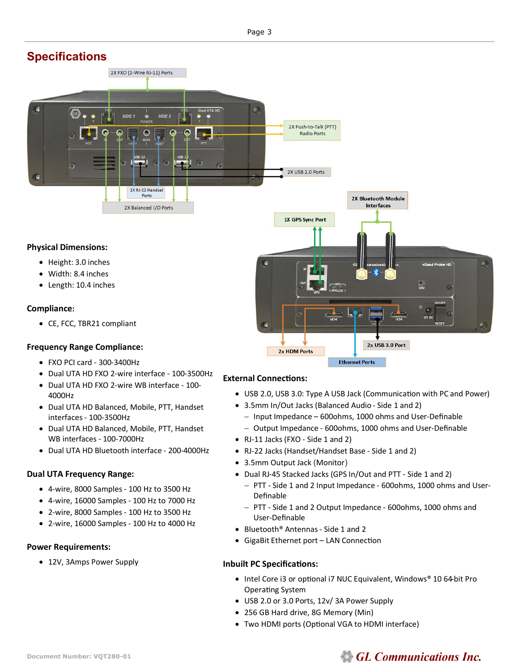## **Specifications**



#### **Physical Dimensions:**

- Height: 3.0 inches
- Width: 8.4 inches
- Length: 10.4 inches

#### **Compliance:**

• CE, FCC, TBR21 compliant

#### **Frequency Range Compliance:**

- FXO PCI card 300-3400Hz
- Dual UTA HD FXO 2-wire interface 100-3500Hz
- Dual UTA HD FXO 2-wire WB interface 100- 4000Hz
- Dual UTA HD Balanced, Mobile, PTT, Handset interfaces - 100-3500Hz
- Dual UTA HD Balanced, Mobile, PTT, Handset WB interfaces - 100-7000Hz
- Dual UTA HD Bluetooth interface 200-4000Hz

#### **Dual UTA Frequency Range:**

- 4-wire, 8000 Samples 100 Hz to 3500 Hz
- 4-wire, 16000 Samples 100 Hz to 7000 Hz
- 2-wire, 8000 Samples 100 Hz to 3500 Hz
- 2-wire, 16000 Samples 100 Hz to 4000 Hz

#### **Power Requirements:**

• 12V, 3Amps Power Supply



#### **External Connections:**

- USB 2.0, USB 3.0: Type A USB Jack (Communication with PC and Power)
- 3.5mm In/Out Jacks (Balanced Audio Side 1 and 2)
	- − Input Impedance 600ohms, 1000 ohms and User-Definable
	- − Output Impedance 600ohms, 1000 ohms and User-Definable
- RJ-11 Jacks (FXO Side 1 and 2)
- RJ-22 Jacks (Handset/Handset Base Side 1 and 2)
- 3.5mm Output Jack (Monitor)
- Dual RJ-45 Stacked Jacks (GPS In/Out and PTT Side 1 and 2)
	- − PTT Side 1 and 2 Input Impedance 600ohms, 1000 ohms and User-Definable
	- − PTT Side 1 and 2 Output Impedance 600ohms, 1000 ohms and User-Definable
- Bluetooth® Antennas Side 1 and 2
- GigaBit Ethernet port LAN Connection

#### **Inbuilt PC Specifications:**

- Intel Core i3 or optional i7 NUC Equivalent, Windows® 10 64-bit Pro Operating System
- USB 2.0 or 3.0 Ports, 12v/ 3A Power Supply
- 256 GB Hard drive, 8G Memory (Min)
- Two HDMI ports (Optional VGA to HDMI interface)

## **GL Communications Inc.**